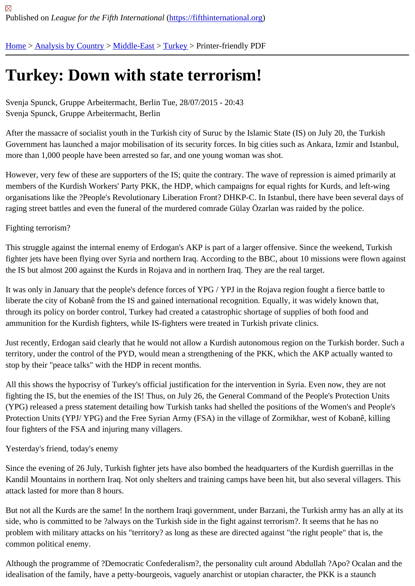# [Tur](https://fifthinternational.org/)[key: Down](https://fifthinternational.org/category/1) [with s](https://fifthinternational.org/category/1/178)t[ate](https://fifthinternational.org/category/1/178/174) terrorism!

Svenja Spunck, Gruppe Arbeitermacht, Berlin Tue, 28/07/2015 - 20:43 Svenja Spunck, Gruppe Arbeitermacht, Berlin

After the massacre of socialist youth in the Turkish city of Suruc by the Islamic State (IS) on July 20, the Turkish Government has launched a major mobilisation of its security forces. In big cities such as Ankara, Izmir and Istanb more than 1,000 people have been arrested so far, and one young woman was shot.

However, very few of these are supporters of the IS; quite the contrary. The wave of repression is aimed primarily members of the Kurdish Workers' Party PKK, the HDP, which campaigns for equal rights for Kurds, and left-wing organisations like the ?People's Revolutionary Liberation Front? DHKP-C. In Istanbul, there have been several da raging street battles and even the funeral of the murdered comrade Gülay Özarlan was raided by the police.

## Fighting terrorism?

This struggle against the internal enemy of Erdogan's AKP is part of a larger offensive. Since the weekend, Turkish fighter jets have been flying over Syria and northern Iraq. According to the BBC, about 10 missions were flown aga the IS but almost 200 against the Kurds in Rojava and in northern Iraq. They are the real target.

It was only in January that the people's defence forces of YPG / YPJ in the Rojava region fought a fierce battle to liberate the city of Kobanê from the IS and gained international recognition. Equally, it was widely known that, through its policy on border control, Turkey had created a catastrophic shortage of supplies of both food and ammunition for the Kurdish fighters, while IS-fighters were treated in Turkish private clinics.

Just recently, Erdogan said clearly that he would not allow a Kurdish autonomous region on the Turkish border. Su territory, under the control of the PYD, would mean a strengthening of the PKK, which the AKP actually wanted to stop by their "peace talks" with the HDP in recent months.

All this shows the hypocrisy of Turkey's official justification for the intervention in Syria. Even now, they are not fighting the IS, but the enemies of the IS! Thus, on July 26, the General Command of the People's Protection Units (YPG) released a press statement detailing how Turkish tanks had shelled the positions of the Women's and Peop Protection Units (YPJ/ YPG) and the Free Syrian Army (FSA) in the village of Zormikhar, west of Kobanê, killing four fighters of the FSA and injuring many villagers.

## Yesterday's friend, today's enemy

Since the evening of 26 July, Turkish fighter jets have also bombed the headquarters of the Kurdish querrillas in th Kandil Mountains in northern Iraq. Not only shelters and training camps have been hit, but also several villagers. T attack lasted for more than 8 hours.

But not all the Kurds are the same! In the northern Iraqi government, under Barzani, the Turkish army has an ally a side, who is committed to be ?always on the Turkish side in the fight against terrorism?. It seems that he has no problem with military attacks on his "territory? as long as these are directed against "the right people" that is, the common political enemy.

Although the programme of ?Democratic Confederalism?, the personality cult around Abdullah ?Apo? Ocalan and idealisation of the family, have a petty-bourgeois, vaguely anarchist or utopian character, the PKK is a staunch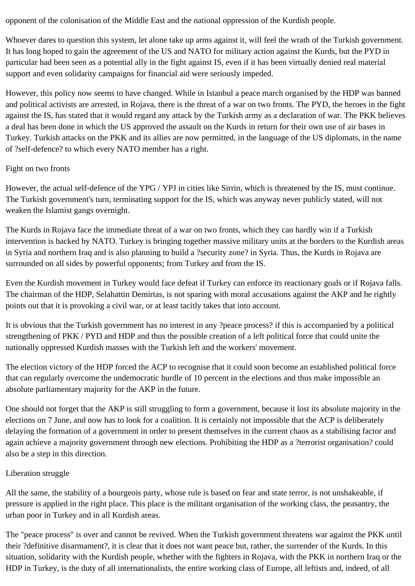opponent of the colonisation of the Middle East and the national oppression of the Kurdish people.

Whoever dares to question this system, let alone take up arms against it, will feel the wrath of the Turkish government. It has long hoped to gain the agreement of the US and NATO for military action against the Kurds, but the PYD in particular had been seen as a potential ally in the fight against IS, even if it has been virtually denied real material support and even solidarity campaigns for financial aid were seriously impeded.

However, this policy now seems to have changed. While in Istanbul a peace march organised by the HDP was banned and political activists are arrested, in Rojava, there is the threat of a war on two fronts. The PYD, the heroes in the fight against the IS, has stated that it would regard any attack by the Turkish army as a declaration of war. The PKK believes a deal has been done in which the US approved the assault on the Kurds in return for their own use of air bases in Turkey. Turkish attacks on the PKK and its allies are now permitted, in the language of the US diplomats, in the name of ?self-defence? to which every NATO member has a right.

#### Fight on two fronts

However, the actual self-defence of the YPG / YPJ in cities like Sirrin, which is threatened by the IS, must continue. The Turkish government's turn, terminating support for the IS, which was anyway never publicly stated, will not weaken the Islamist gangs overnight.

The Kurds in Rojava face the immediate threat of a war on two fronts, which they can hardly win if a Turkish intervention is backed by NATO. Turkey is bringing together massive military units at the borders to the Kurdish areas in Syria and northern Iraq and is also planning to build a ?security zone? in Syria. Thus, the Kurds in Rojava are surrounded on all sides by powerful opponents; from Turkey and from the IS.

Even the Kurdish movement in Turkey would face defeat if Turkey can enforce its reactionary goals or if Rojava falls. The chairman of the HDP, Selahattin Demirtas, is not sparing with moral accusations against the AKP and he rightly points out that it is provoking a civil war, or at least tacitly takes that into account.

It is obvious that the Turkish government has no interest in any ?peace process? if this is accompanied by a political strengthening of PKK / PYD and HDP and thus the possible creation of a left political force that could unite the nationally oppressed Kurdish masses with the Turkish left and the workers' movement.

The election victory of the HDP forced the ACP to recognise that it could soon become an established political force that can regularly overcome the undemocratic hurdle of 10 percent in the elections and thus make impossible an absolute parliamentary majority for the AKP in the future.

One should not forget that the AKP is still struggling to form a government, because it lost its absolute majority in the elections on 7 June, and now has to look for a coalition. It is certainly not impossible that the ACP is deliberately delaying the formation of a government in order to present themselves in the current chaos as a stabilising factor and again achieve a majority government through new elections. Prohibiting the HDP as a ?terrorist organisation? could also be a step in this direction.

## Liberation struggle

All the same, the stability of a bourgeois party, whose rule is based on fear and state terror, is not unshakeable, if pressure is applied in the right place. This place is the militant organisation of the working class, the peasantry, the urban poor in Turkey and in all Kurdish areas.

The "peace process" is over and cannot be revived. When the Turkish government threatens war against the PKK until their ?definitive disarmament?, it is clear that it does not want peace but, rather, the surrender of the Kurds. In this situation, solidarity with the Kurdish people, whether with the fighters in Rojava, with the PKK in northern Iraq or the HDP in Turkey, is the duty of all internationalists, the entire working class of Europe, all leftists and, indeed, of all